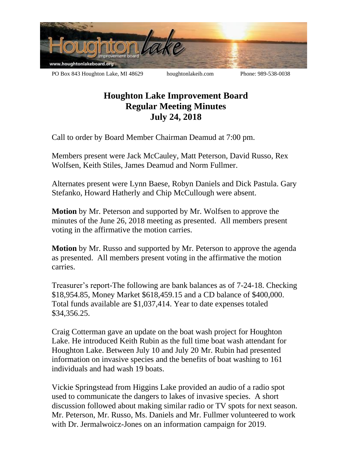

## **Houghton Lake Improvement Board Regular Meeting Minutes July 24, 2018**

Call to order by Board Member Chairman Deamud at 7:00 pm.

Members present were Jack McCauley, Matt Peterson, David Russo, Rex Wolfsen, Keith Stiles, James Deamud and Norm Fullmer.

Alternates present were Lynn Baese, Robyn Daniels and Dick Pastula. Gary Stefanko, Howard Hatherly and Chip McCullough were absent.

**Motion** by Mr. Peterson and supported by Mr. Wolfsen to approve the minutes of the June 26, 2018 meeting as presented. All members present voting in the affirmative the motion carries.

**Motion** by Mr. Russo and supported by Mr. Peterson to approve the agenda as presented. All members present voting in the affirmative the motion carries.

Treasurer's report-The following are bank balances as of 7-24-18. Checking \$18,954.85, Money Market \$618,459.15 and a CD balance of \$400,000. Total funds available are \$1,037,414. Year to date expenses totaled \$34,356.25.

Craig Cotterman gave an update on the boat wash project for Houghton Lake. He introduced Keith Rubin as the full time boat wash attendant for Houghton Lake. Between July 10 and July 20 Mr. Rubin had presented information on invasive species and the benefits of boat washing to 161 individuals and had wash 19 boats.

Vickie Springstead from Higgins Lake provided an audio of a radio spot used to communicate the dangers to lakes of invasive species. A short discussion followed about making similar radio or TV spots for next season. Mr. Peterson, Mr. Russo, Ms. Daniels and Mr. Fullmer volunteered to work with Dr. Jermalwoicz-Jones on an information campaign for 2019.